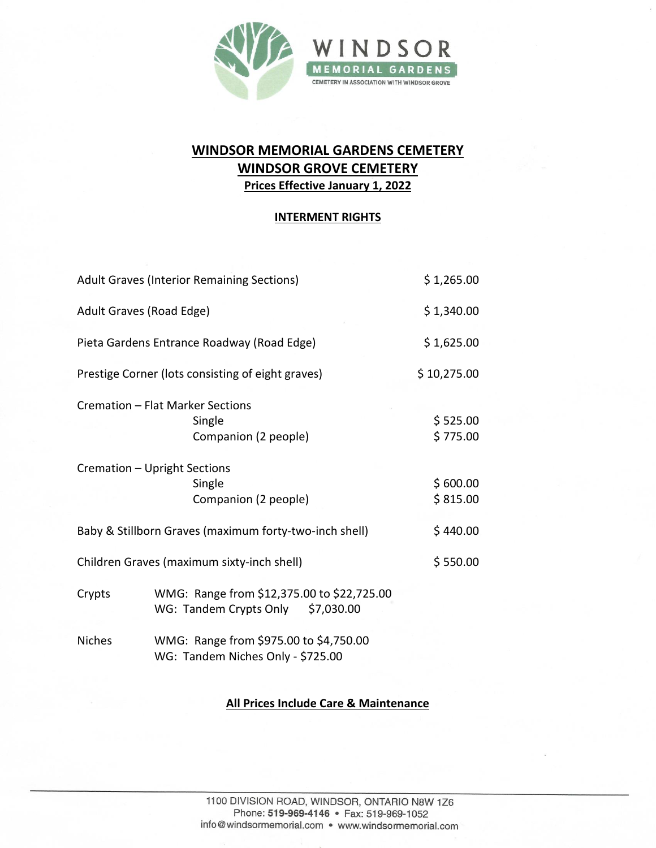

# **WINDSOR MEMORIAL GARDENS CEMETERY WINDSOR GROVE CEMETERY Prices Effective January 1, 2022**

### **INTERMENT RIGHTS**

| <b>Adult Graves (Interior Remaining Sections)</b>      |                                                                                    | \$1,265.00           |
|--------------------------------------------------------|------------------------------------------------------------------------------------|----------------------|
| Adult Graves (Road Edge)                               |                                                                                    | \$1,340.00           |
| Pieta Gardens Entrance Roadway (Road Edge)             |                                                                                    | \$1,625.00           |
| Prestige Corner (lots consisting of eight graves)      |                                                                                    | \$10,275.00          |
|                                                        | Cremation - Flat Marker Sections<br>Single<br>Companion (2 people)                 | \$525.00<br>\$775.00 |
|                                                        | Cremation - Upright Sections<br>Single<br>Companion (2 people)                     | \$600.00<br>\$815.00 |
| Baby & Stillborn Graves (maximum forty-two-inch shell) |                                                                                    | \$440.00             |
| Children Graves (maximum sixty-inch shell)             |                                                                                    | \$550.00             |
| Crypts                                                 | WMG: Range from \$12,375.00 to \$22,725.00<br>WG: Tandem Crypts Only<br>\$7,030.00 |                      |
| <b>Niches</b>                                          | WMG: Range from \$975.00 to \$4,750.00                                             |                      |

WG: Tandem Niches Only - \$725.00

## **All Prices Include Care & Maintenance**